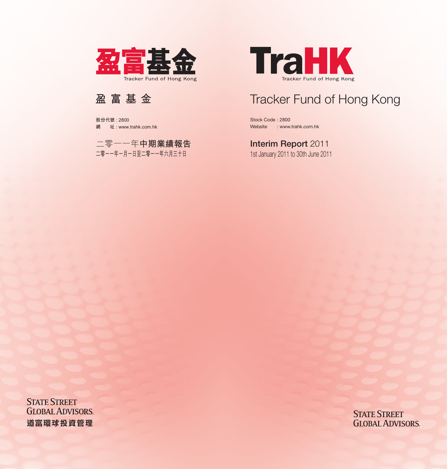

Stock Code : 2800 Website : www.trahk.com.hk

# **Interim Report 2011**

1st January 2011 to 30th June 2011

**STATE STREET GLOBAL ADVISORS.**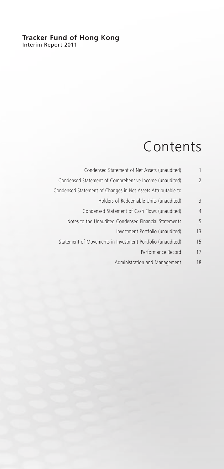### **Tracker Fund of Hong Kong** Interim Report 2011

# Contents

| 1              | Condensed Statement of Net Assets (unaudited)                |
|----------------|--------------------------------------------------------------|
| $\overline{2}$ | Condensed Statement of Comprehensive Income (unaudited)      |
|                | Condensed Statement of Changes in Net Assets Attributable to |
| 3              | Holders of Redeemable Units (unaudited)                      |
| 4              | Condensed Statement of Cash Flows (unaudited)                |
| 5              | Notes to the Unaudited Condensed Financial Statements        |
| 13             | Investment Portfolio (unaudited)                             |
| 15             | Statement of Movements in Investment Portfolio (unaudited)   |
| 17             | Performance Record                                           |
| 18             | Administration and Management                                |
|                |                                                              |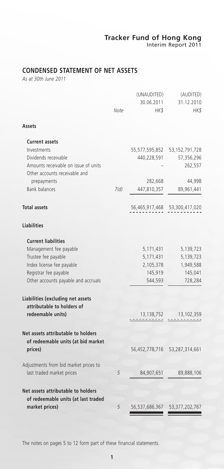# **CONDENSED STATEMENT OF NET ASSETS**

*As at 30th June 2011*

| Assets<br><b>Current assets</b><br>Investments<br>55,577,595,852<br>53, 152, 791, 728<br>Dividends receivable<br>440,228,591<br>57,356,296<br>Amounts receivable on issue of units<br>262,557<br>Other accounts receivable and<br>prepayments<br>282,668<br><b>Bank balances</b><br>7(d)<br>447,810,357<br>89,961,441<br><b>Total assets</b><br>56,465,917,468 53,300,417,020<br><b>Liabilities</b><br><b>Current liabilities</b><br>Management fee payable<br>5,171,431<br>5,139,723<br>Trustee fee payable<br>5,171,431<br>Index license fee payable<br>2,105,378<br>Registrar fee payable<br>145,919<br>Other accounts payable and accruals<br>544,593<br>728,284<br>Liabilities (excluding net assets<br>attributable to holders of<br>redeemable units)<br>13,138,752<br>13,102,359<br>Net assets attributable to holders<br>of redeemable units (at bid market<br>prices)<br>56,452,778,716<br>53,287,314,661<br>Adjustments from bid market prices to<br>last traded market prices<br>5<br>84,907,651<br>89,888,106<br>Net assets attributable to holders<br>of redeemable units (at last traded<br>56, 537, 686, 367 53, 377, 202, 767<br>market prices)<br>5 | Note | (UNAUDITED)<br>30.06.2011<br>HK\$ | (AUDITED)<br>31.12.2010<br>HK\$ |
|-----------------------------------------------------------------------------------------------------------------------------------------------------------------------------------------------------------------------------------------------------------------------------------------------------------------------------------------------------------------------------------------------------------------------------------------------------------------------------------------------------------------------------------------------------------------------------------------------------------------------------------------------------------------------------------------------------------------------------------------------------------------------------------------------------------------------------------------------------------------------------------------------------------------------------------------------------------------------------------------------------------------------------------------------------------------------------------------------------------------------------------------------------------------------|------|-----------------------------------|---------------------------------|
|                                                                                                                                                                                                                                                                                                                                                                                                                                                                                                                                                                                                                                                                                                                                                                                                                                                                                                                                                                                                                                                                                                                                                                       |      |                                   |                                 |
|                                                                                                                                                                                                                                                                                                                                                                                                                                                                                                                                                                                                                                                                                                                                                                                                                                                                                                                                                                                                                                                                                                                                                                       |      |                                   |                                 |
|                                                                                                                                                                                                                                                                                                                                                                                                                                                                                                                                                                                                                                                                                                                                                                                                                                                                                                                                                                                                                                                                                                                                                                       |      |                                   |                                 |
|                                                                                                                                                                                                                                                                                                                                                                                                                                                                                                                                                                                                                                                                                                                                                                                                                                                                                                                                                                                                                                                                                                                                                                       |      |                                   |                                 |
|                                                                                                                                                                                                                                                                                                                                                                                                                                                                                                                                                                                                                                                                                                                                                                                                                                                                                                                                                                                                                                                                                                                                                                       |      |                                   |                                 |
|                                                                                                                                                                                                                                                                                                                                                                                                                                                                                                                                                                                                                                                                                                                                                                                                                                                                                                                                                                                                                                                                                                                                                                       |      |                                   |                                 |
|                                                                                                                                                                                                                                                                                                                                                                                                                                                                                                                                                                                                                                                                                                                                                                                                                                                                                                                                                                                                                                                                                                                                                                       |      |                                   | 44,998                          |
|                                                                                                                                                                                                                                                                                                                                                                                                                                                                                                                                                                                                                                                                                                                                                                                                                                                                                                                                                                                                                                                                                                                                                                       |      |                                   |                                 |
|                                                                                                                                                                                                                                                                                                                                                                                                                                                                                                                                                                                                                                                                                                                                                                                                                                                                                                                                                                                                                                                                                                                                                                       |      |                                   |                                 |
|                                                                                                                                                                                                                                                                                                                                                                                                                                                                                                                                                                                                                                                                                                                                                                                                                                                                                                                                                                                                                                                                                                                                                                       |      |                                   |                                 |
|                                                                                                                                                                                                                                                                                                                                                                                                                                                                                                                                                                                                                                                                                                                                                                                                                                                                                                                                                                                                                                                                                                                                                                       |      |                                   |                                 |
|                                                                                                                                                                                                                                                                                                                                                                                                                                                                                                                                                                                                                                                                                                                                                                                                                                                                                                                                                                                                                                                                                                                                                                       |      |                                   |                                 |
|                                                                                                                                                                                                                                                                                                                                                                                                                                                                                                                                                                                                                                                                                                                                                                                                                                                                                                                                                                                                                                                                                                                                                                       |      |                                   | 5,139,723                       |
|                                                                                                                                                                                                                                                                                                                                                                                                                                                                                                                                                                                                                                                                                                                                                                                                                                                                                                                                                                                                                                                                                                                                                                       |      |                                   | 1,949,588                       |
|                                                                                                                                                                                                                                                                                                                                                                                                                                                                                                                                                                                                                                                                                                                                                                                                                                                                                                                                                                                                                                                                                                                                                                       |      |                                   | 145,041                         |
|                                                                                                                                                                                                                                                                                                                                                                                                                                                                                                                                                                                                                                                                                                                                                                                                                                                                                                                                                                                                                                                                                                                                                                       |      |                                   |                                 |
|                                                                                                                                                                                                                                                                                                                                                                                                                                                                                                                                                                                                                                                                                                                                                                                                                                                                                                                                                                                                                                                                                                                                                                       |      |                                   |                                 |
|                                                                                                                                                                                                                                                                                                                                                                                                                                                                                                                                                                                                                                                                                                                                                                                                                                                                                                                                                                                                                                                                                                                                                                       |      |                                   |                                 |
|                                                                                                                                                                                                                                                                                                                                                                                                                                                                                                                                                                                                                                                                                                                                                                                                                                                                                                                                                                                                                                                                                                                                                                       |      |                                   |                                 |
|                                                                                                                                                                                                                                                                                                                                                                                                                                                                                                                                                                                                                                                                                                                                                                                                                                                                                                                                                                                                                                                                                                                                                                       |      |                                   |                                 |
|                                                                                                                                                                                                                                                                                                                                                                                                                                                                                                                                                                                                                                                                                                                                                                                                                                                                                                                                                                                                                                                                                                                                                                       |      |                                   |                                 |
|                                                                                                                                                                                                                                                                                                                                                                                                                                                                                                                                                                                                                                                                                                                                                                                                                                                                                                                                                                                                                                                                                                                                                                       |      |                                   |                                 |
|                                                                                                                                                                                                                                                                                                                                                                                                                                                                                                                                                                                                                                                                                                                                                                                                                                                                                                                                                                                                                                                                                                                                                                       |      |                                   |                                 |
|                                                                                                                                                                                                                                                                                                                                                                                                                                                                                                                                                                                                                                                                                                                                                                                                                                                                                                                                                                                                                                                                                                                                                                       |      |                                   |                                 |
|                                                                                                                                                                                                                                                                                                                                                                                                                                                                                                                                                                                                                                                                                                                                                                                                                                                                                                                                                                                                                                                                                                                                                                       |      |                                   |                                 |

The notes on pages 5 to 12 form part of these financial statements.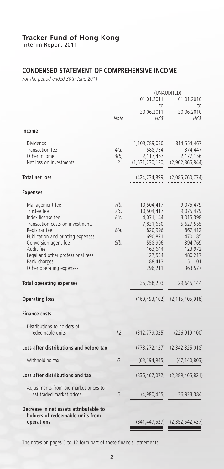Interim Report 2011

# **CONDENSED STATEMENT OF COMPREHENSIVE INCOME**

*For the period ended 30th June 2011*

|                                                                                                                                                                                                                                                                    |                                      | (UNAUDITED)                                                                                                                     |                                                                                                                               |  |
|--------------------------------------------------------------------------------------------------------------------------------------------------------------------------------------------------------------------------------------------------------------------|--------------------------------------|---------------------------------------------------------------------------------------------------------------------------------|-------------------------------------------------------------------------------------------------------------------------------|--|
|                                                                                                                                                                                                                                                                    |                                      | 01.01.2011<br>to                                                                                                                | 01.01.2010<br>to                                                                                                              |  |
|                                                                                                                                                                                                                                                                    | Note                                 | 30.06.2011<br><b>HKS</b>                                                                                                        | 30.06.2010<br>HK \$                                                                                                           |  |
| Income                                                                                                                                                                                                                                                             |                                      |                                                                                                                                 |                                                                                                                               |  |
| <b>Dividends</b><br>Transaction fee<br>Other income<br>Net loss on investments<br><b>Total net loss</b><br><b>Expenses</b>                                                                                                                                         | 4(a)<br>4(b)<br>3                    | 1,103,789,030<br>588,734<br>2,117,467<br>(1,531,230,130)<br>(424,734,899)                                                       | 814,554,467<br>374,447<br>2,177,156<br>(2,902,866,844)<br>(2,085,760,774)                                                     |  |
| Management fee<br>Trustee fee<br>Index license fee<br>Transaction costs on investments<br>Registrar fee<br>Publication and printing expenses<br>Conversion agent fee<br>Audit fee<br>Legal and other professional fees<br>Bank charges<br>Other operating expenses | 7(b)<br>7(c)<br>8(c)<br>8(a)<br>8(b) | 10,504,417<br>10,504,417<br>4,071,144<br>7,831,650<br>820,996<br>690,871<br>558,906<br>163,644<br>127,534<br>188,413<br>296,211 | 9,075,479<br>9,075,479<br>3,015,398<br>5,627,555<br>867,412<br>470,185<br>394,769<br>123,972<br>480,217<br>151,101<br>363,577 |  |
| <b>Total operating expenses</b>                                                                                                                                                                                                                                    |                                      | 35,758,203<br>------                                                                                                            | 29.645.144                                                                                                                    |  |
| <b>Operating loss</b>                                                                                                                                                                                                                                              |                                      | (460, 493, 102)                                                                                                                 | (2, 115, 405, 918)                                                                                                            |  |
| <b>Finance costs</b>                                                                                                                                                                                                                                               |                                      |                                                                                                                                 |                                                                                                                               |  |
| Distributions to holders of<br>redeemable units                                                                                                                                                                                                                    | 12                                   | (312, 779, 025)                                                                                                                 | (226, 919, 100)                                                                                                               |  |
| Loss after distributions and before tax                                                                                                                                                                                                                            |                                      | (773, 272, 127)                                                                                                                 | (2,342,325,018)                                                                                                               |  |
| Withholding tax                                                                                                                                                                                                                                                    | 6                                    | (63, 194, 945)                                                                                                                  | (47, 140, 803)                                                                                                                |  |
| Loss after distributions and tax                                                                                                                                                                                                                                   |                                      | (836, 467, 072)                                                                                                                 | (2,389,465,821)                                                                                                               |  |
| Adjustments from bid market prices to<br>last traded market prices                                                                                                                                                                                                 | 5                                    | (4,980,455)                                                                                                                     | 36,923,384                                                                                                                    |  |
| Decrease in net assets attributable to<br>holders of redeemable units from<br>operations                                                                                                                                                                           |                                      | (841, 447, 527)                                                                                                                 | (2,352,542,437)                                                                                                               |  |

The notes on pages 5 to 12 form part of these financial statements.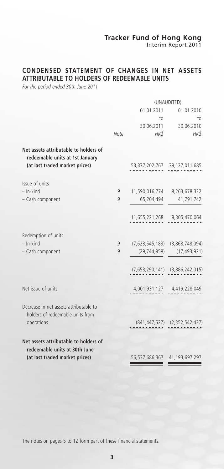Interim Report 2011

# **CONDENSED STATEMENT OF CHANGES IN NET ASSETS ATTRIBUTABLE TO HOLDERS OF REDEEMABLE UNITS**

*For the period ended 30th June 2011*

|                                                                                                            |      | (UNAUDITED)                   |                                        |  |
|------------------------------------------------------------------------------------------------------------|------|-------------------------------|----------------------------------------|--|
|                                                                                                            |      | 01.01.2011                    | 01.01.2010                             |  |
|                                                                                                            |      | to                            | to                                     |  |
|                                                                                                            |      |                               | 30.06.2011 30.06.2010                  |  |
|                                                                                                            | Note | HK\$                          | HK\$                                   |  |
| Net assets attributable to holders of<br>redeemable units at 1st January<br>(at last traded market prices) |      | 53,377,202,767 39,127,011,685 |                                        |  |
| Issue of units                                                                                             |      |                               |                                        |  |
| $-$ In-kind                                                                                                | 9    | 11,590,016,774 8,263,678,322  |                                        |  |
| - Cash component                                                                                           | 9    | 65,204,494                    | 41,791,742                             |  |
|                                                                                                            |      |                               | 11,655,221,268 8,305,470,064           |  |
| Redemption of units                                                                                        |      |                               |                                        |  |
| $-$ In-kind                                                                                                | 9    |                               | $(7,623,545,183)$ $(3,868,748,094)$    |  |
| - Cash component                                                                                           | 9    | (29, 744, 958)                | (17, 493, 921)                         |  |
|                                                                                                            |      |                               | $(7,653,290,141)$ $(3,886,242,015)$    |  |
| Net issue of units                                                                                         |      |                               | 4,001,931,127 4,419,228,049            |  |
| Decrease in net assets attributable to<br>holders of redeemable units from                                 |      |                               |                                        |  |
| operations                                                                                                 |      |                               | $(841, 447, 527)$ $(2, 352, 542, 437)$ |  |
| Net assets attributable to holders of                                                                      |      |                               |                                        |  |
| redeemable units at 30th June<br>(at last traded market prices)                                            |      |                               | 56,537,686,367 41,193,697,297          |  |

The notes on pages 5 to 12 form part of these financial statements.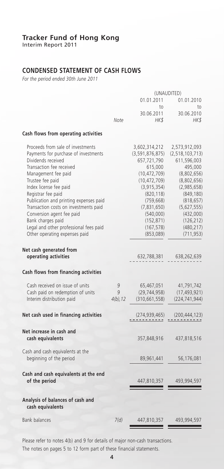Interim Report 2011

# **CONDENSED STATEMENT OF CASH FLOWS**

*For the period ended 30th June 2011*

|                                                       |             | (UNAUDITED)                 |                    |  |
|-------------------------------------------------------|-------------|-----------------------------|--------------------|--|
|                                                       |             | 01.01.2011                  | 01.01.2010         |  |
|                                                       |             | to                          | to                 |  |
|                                                       |             | 30.06.2011                  | 30.06.2010         |  |
|                                                       | Note        | HK\$                        | HK\$               |  |
| Cash flows from operating activities                  |             |                             |                    |  |
| Proceeds from sale of investments                     |             | 3,602,314,212               | 2,573,912,093      |  |
| Payments for purchase of investments                  |             | (3,591,876,875)             | (2, 518, 103, 713) |  |
| Dividends received                                    |             | 657,721,790                 | 611,596,003        |  |
| Transaction fee received                              |             | 615,000                     | 495,000            |  |
| Management fee paid                                   |             | (10, 472, 709)              | (8,802,656)        |  |
| Trustee fee paid                                      |             | (10, 472, 709)              | (8,802,656)        |  |
| Index license fee paid                                |             | (3, 915, 354)               | (2,985,658)        |  |
| Registrar fee paid                                    |             | (820, 118)                  | (849, 180)         |  |
| Publication and printing expenses paid                |             | (759, 668)                  | (818, 657)         |  |
| Transaction costs on investments paid                 |             | (7,831,650)                 | (5,627,555)        |  |
| Conversion agent fee paid                             |             | (540,000)                   | (432,000)          |  |
| Bank charges paid                                     |             | (152, 871)                  | (126, 212)         |  |
| Legal and other professional fees paid                |             | (167, 578)                  | (480, 217)         |  |
| Other operating expenses paid                         |             | (853,089)                   | (711, 953)         |  |
| Net cash generated from                               |             |                             |                    |  |
| operating activities                                  |             | 632,788,381                 | 638,262,639        |  |
| Cash flows from financing activities                  |             |                             |                    |  |
| Cash received on issue of units                       | 9           | 65,467,051                  | 41,791,742         |  |
| Cash paid on redemption of units                      | 9           | (29, 744, 958)              | (17, 493, 921)     |  |
| Interim distribution paid                             | $4(b)$ , 12 | (310, 661, 558)             | (224, 741, 944)    |  |
| Net cash used in financing activities                 |             | (274,939,465)<br>. <u>.</u> | (200, 444, 123)    |  |
| Net increase in cash and                              |             |                             |                    |  |
| cash equivalents                                      |             | 357,848,916                 | 437,818,516        |  |
| Cash and cash equivalents at the                      |             |                             |                    |  |
| beginning of the period                               |             | 89,961,441                  | 56,176,081         |  |
| Cash and cash equivalents at the end<br>of the period |             | 447,810,357                 | 493,994,597        |  |
|                                                       |             |                             |                    |  |
| Analysis of balances of cash and<br>cash equivalents  |             |                             |                    |  |
| <b>Bank balances</b>                                  | 7(d)        | 447,810,357                 | 493,994,597        |  |
|                                                       |             |                             |                    |  |

Please refer to notes 4(b) and 9 for details of major non-cash transactions. The notes on pages 5 to 12 form part of these financial statements.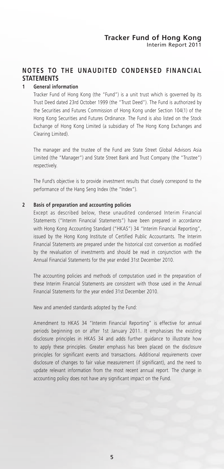# **NOTES TO THE UNAUDITED CONDENSED FINANCIAL STATEMENTS**

#### **1 General information**

Tracker Fund of Hong Kong (the "Fund") is a unit trust which is governed by its Trust Deed dated 23rd October 1999 (the "Trust Deed"). The Fund is authorized by the Securities and Futures Commission of Hong Kong under Section 104(1) of the Hong Kong Securities and Futures Ordinance. The Fund is also listed on the Stock Exchange of Hong Kong Limited (a subsidiary of The Hong Kong Exchanges and Clearing Limited).

The manager and the trustee of the Fund are State Street Global Advisors Asia Limited (the "Manager") and State Street Bank and Trust Company (the "Trustee") respectively.

The Fund's objective is to provide investment results that closely correspond to the performance of the Hang Seng Index (the "Index").

#### **2 Basis of preparation and accounting policies**

Except as described below, these unaudited condensed Interim Financial Statements ("Interim Financial Statements") have been prepared in accordance with Hong Kong Accounting Standard ("HKAS") 34 "Interim Financial Reporting", issued by the Hong Kong Institute of Certified Public Accountants. The Interim Financial Statements are prepared under the historical cost convention as modified by the revaluation of investments and should be read in conjunction with the Annual Financial Statements for the year ended 31st December 2010.

The accounting policies and methods of computation used in the preparation of these Interim Financial Statements are consistent with those used in the Annual Financial Statements for the year ended 31st December 2010.

New and amended standards adopted by the Fund:

Amendment to HKAS 34 "Interim Financial Reporting" is effective for annual periods beginning on or after 1st January 2011. It emphasises the existing disclosure principles in HKAS 34 and adds further guidance to illustrate how to apply these principles. Greater emphasis has been placed on the disclosure principles for significant events and transactions. Additional requirements cover disclosure of changes to fair value measurement (if significant), and the need to update relevant information from the most recent annual report. The change in accounting policy does not have any significant impact on the Fund.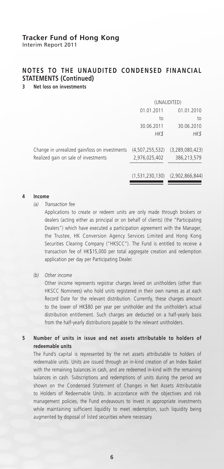Interim Report 2011

# **NOTES TO THE UNAUDITED CONDENSED FINANCIAL STATEMENTS (Continued)**

### **3 Net loss on investments**

|                                               | (UNAUDITED)     |                    |  |
|-----------------------------------------------|-----------------|--------------------|--|
|                                               | 01.01.2011      | 01.01.2010         |  |
|                                               | to              | to                 |  |
|                                               | 30.06.2011      | 30.06.2010         |  |
|                                               | HK\$            | HK\$               |  |
| Change in unrealized gain/loss on investments | (4,507,255,532) | (3, 289, 080, 423) |  |
| Realized gain on sale of investments          | 2,976,025,402   | 386,213,579        |  |
|                                               | (1,531,230,130) | (2,902,866,844)    |  |

#### **4 Income**

*(a) Transaction fee*

Applications to create or redeem units are only made through brokers or dealers (acting either as principal or on behalf of clients) (the "Participating Dealers") which have executed a participation agreement with the Manager, the Trustee, HK Conversion Agency Services Limited and Hong Kong Securities Clearing Company ("HKSCC"). The Fund is entitled to receive a transaction fee of HK\$15,000 per total aggregate creation and redemption application per day per Participating Dealer.

*(b) Other income*

Other income represents registrar charges levied on unitholders (other than HKSCC Nominees) who hold units registered in their own names as at each Record Date for the relevant distribution. Currently, these charges amount to the lower of HK\$80 per year per unitholder and the unitholder's actual distribution entitlement. Such charges are deducted on a half-yearly basis from the half-yearly distributions payable to the relevant unitholders.

### **5 Number of units in issue and net assets attributable to holders of redeemable units**

The Fund's capital is represented by the net assets attributable to holders of redeemable units. Units are issued through an in-kind creation of an Index Basket with the remaining balances in cash, and are redeemed in-kind with the remaining balances in cash. Subscriptions and redemptions of units during the period are shown on the Condensed Statement of Changes in Net Assets Attributable to Holders of Redeemable Units. In accordance with the objectives and risk management policies, the Fund endeavours to invest in appropriate investments while maintaining sufficient liquidity to meet redemption, such liquidity being augmented by disposal of listed securities where necessary.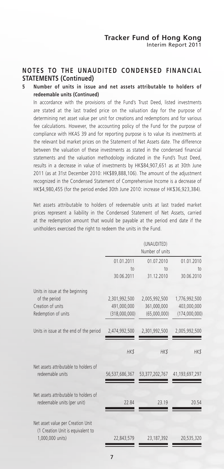### **NOTES TO THE UNAUDITED CONDENSED FINANCIAL STATEMENTS (Continued)**

### **5 Number of units in issue and net assets attributable to holders of redeemable units (Continued)**

In accordance with the provisions of the Fund's Trust Deed, listed investments are stated at the last traded price on the valuation day for the purpose of determining net asset value per unit for creations and redemptions and for various fee calculations. However, the accounting policy of the Fund for the purpose of compliance with HKAS 39 and for reporting purpose is to value its investments at the relevant bid market prices on the Statement of Net Assets date. The difference between the valuation of these investments as stated in the condensed financial statements and the valuation methodology indicated in the Fund's Trust Deed, results in a decrease in value of investments by HK\$84,907,651 as at 30th June 2011 (as at 31st December 2010: HK\$89,888,106). The amount of the adjustment recognized in the Condensed Statement of Comprehensive Income is a decrease of HK\$4,980,455 (for the period ended 30th June 2010: increase of HK\$36,923,384).

Net assets attributable to holders of redeemable units at last traded market prices represent a liability in the Condensed Statement of Net Assets, carried at the redemption amount that would be payable at the period end date if the unitholders exercised the right to redeem the units in the Fund.

|                                                                                            |                               | (UNAUDITED)<br>Number of units |                               |
|--------------------------------------------------------------------------------------------|-------------------------------|--------------------------------|-------------------------------|
|                                                                                            | 01.01.2011<br>$\overline{10}$ | 01.07.2010<br>$10$             | 01.01.2010<br>10 <sub>1</sub> |
|                                                                                            | 30.06.2011                    | 31.12.2010                     | 30.06.2010                    |
| Units in issue at the beginning                                                            |                               |                                |                               |
| of the period                                                                              | 2,301,992,500                 | 2,005,992,500                  | 1,776,992,500                 |
| Creation of units<br>Redemption of units                                                   | 491,000,000<br>(318,000,000)  | 361,000,000<br>(65,000,000)    | 403,000,000<br>(174,000,000)  |
| Units in issue at the end of the period                                                    | 2,474,992,500                 | 2,301,992,500                  | 2,005,992,500                 |
|                                                                                            | HK\$                          | <b>HK\$</b>                    | HK\$                          |
| Net assets attributable to holders of<br>redeemable units                                  | 56,537,686,367                | 53, 377, 202, 767              | 41,193,697,297                |
| Net assets attributable to holders of<br>redeemable units (per unit)                       | 22.84                         | 23.19                          | 20.54                         |
| Net asset value per Creation Unit<br>(1 Creation Unit is equivalent to<br>1,000,000 units) | 22,843,579                    | 23, 187, 392                   | 20,535,320                    |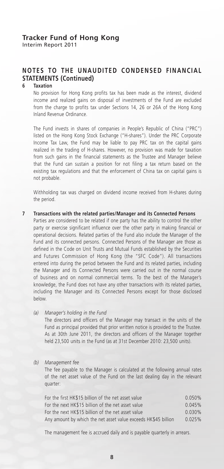# **NOTES TO THE UNAUDITED CONDENSED FINANCIAL STATEMENTS (Continued)**

#### **6 Taxation**

No provision for Hong Kong profits tax has been made as the interest, dividend income and realized gains on disposal of investments of the Fund are excluded from the charge to profits tax under Sections 14, 26 or 26A of the Hong Kong Inland Revenue Ordinance.

The Fund invests in shares of companies in People's Republic of China ("PRC") listed on the Hong Kong Stock Exchange ("H-shares"). Under the PRC Corporate Income Tax Law, the Fund may be liable to pay PRC tax on the capital gains realized in the trading of H-shares. However, no provision was made for taxation from such gains in the financial statements as the Trustee and Manager believe that the Fund can sustain a position for not filing a tax return based on the existing tax regulations and that the enforcement of China tax on capital gains is not probable.

Withholding tax was charged on dividend income received from H-shares during the period.

#### **7 Transactions with the related parties/Manager and its Connected Persons**

Parties are considered to be related if one party has the ability to control the other party or exercise significant influence over the other party in making financial or operational decisions. Related parties of the Fund also include the Manager of the Fund and its connected persons. Connected Persons of the Manager are those as defined in the Code on Unit Trusts and Mutual Funds established by the Securities and Futures Commission of Hong Kong (the "SFC Code"). All transactions entered into during the period between the Fund and its related parties, including the Manager and its Connected Persons were carried out in the normal course of business and on normal commercial terms. To the best of the Manager's knowledge, the Fund does not have any other transactions with its related parties, including the Manager and its Connected Persons except for those disclosed below.

*(a) Manager's holding in the Fund*

The directors and officers of the Manager may transact in the units of the Fund as principal provided that prior written notice is provided to the Trustee. As at 30th June 2011, the directors and officers of the Manager together held 23,500 units in the Fund (as at 31st December 2010: 23,500 units).

#### *(b) Management fee*

The fee payable to the Manager is calculated at the following annual rates of the net asset value of the Fund on the last dealing day in the relevant quarter:

| For the first HK\$15 billion of the net asset value            | 0.050%    |
|----------------------------------------------------------------|-----------|
| For the next HK\$15 billion of the net asset value             | 0.045%    |
| For the next HK\$15 billion of the net asset value             | $0.030\%$ |
| Any amount by which the net asset value exceeds HK\$45 billion | 0.025%    |

The management fee is accrued daily and is payable quarterly in arrears.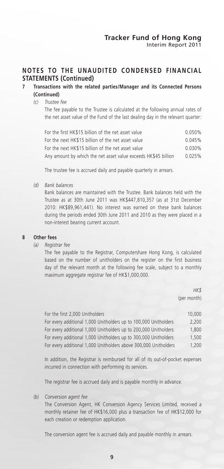### **NOTES TO THE UNAUDITED CONDENSED FINANCIAL STATEMENTS (Continued)**

### **7 Transactions with the related parties/Manager and its Connected Persons (Continued)**

#### *(c) Trustee fee*

The fee payable to the Trustee is calculated at the following annual rates of the net asset value of the Fund of the last dealing day in the relevant quarter:

| For the first HK\$15 billion of the net asset value            | 0.050% |
|----------------------------------------------------------------|--------|
| For the next HK\$15 billion of the net asset value             | 0.045% |
| For the next HK\$15 billion of the net asset value             | 0.030% |
| Any amount by which the net asset value exceeds HK\$45 billion | 0.025% |

The trustee fee is accrued daily and payable quarterly in arrears.

*(d) Bank balances*

Bank balances are maintained with the Trustee. Bank balances held with the Trustee as at 30th June 2011 was HK\$447,810,357 (as at 31st December 2010: HK\$89,961,441). No interest was earned on these bank balances during the periods ended 30th June 2011 and 2010 as they were placed in a non-interest bearing current account.

#### **8 Other fees**

*(a) Registrar fee*

The fee payable to the Registrar, Computershare Hong Kong, is calculated based on the number of unitholders on the register on the first business day of the relevant month at the following fee scale, subject to a monthly maximum aggregate registrar fee of HK\$1,000,000.

> *HK\$* (per month)

| For the first 2,000 Unitholders                                  | 10,000 |
|------------------------------------------------------------------|--------|
| For every additional 1,000 Unitholders up to 100,000 Unitholders | 2,200  |
| For every additional 1,000 Unitholders up to 200,000 Unitholders | 1.800  |
| For every additional 1,000 Unitholders up to 300,000 Unitholders | 1.500  |
| For every additional 1,000 Unitholders above 300,000 Unitholders | 1.200  |

In addition, the Registrar is reimbursed for all of its out-of-pocket expenses incurred in connection with performing its services.

The registrar fee is accrued daily and is payable monthly in advance.

*(b) Conversion agent fee*

The Conversion Agent, HK Conversion Agency Services Limited, received a monthly retainer fee of HK\$16,000 plus a transaction fee of HK\$12,000 for each creation or redemption application.

The conversion agent fee is accrued daily and payable monthly in arrears.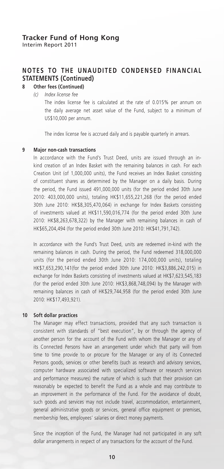# **NOTES TO THE UNAUDITED CONDENSED FINANCIAL STATEMENTS (Continued)**

# **8 Other fees (Continued)**

*(c) Index license fee*

The index license fee is calculated at the rate of 0.015% per annum on the daily average net asset value of the Fund, subject to a minimum of US\$10,000 per annum.

The index license fee is accrued daily and is payable quarterly in arrears.

#### **9 Major non-cash transactions**

In accordance with the Fund's Trust Deed, units are issued through an inkind creation of an Index Basket with the remaining balances in cash. For each Creation Unit (of 1,000,000 units), the Fund receives an Index Basket consisting of constituent shares as determined by the Manager on a daily basis. During the period, the Fund issued 491,000,000 units (for the period ended 30th June 2010: 403,000,000 units), totaling HK\$11,655,221,268 (for the period ended 30th June 2010: HK\$8,305,470,064) in exchange for Index Baskets consisting of investments valued at HK\$11,590,016,774 (for the period ended 30th June 2010: HK\$8,263,678,322) by the Manager with remaining balances in cash of HK\$65,204,494 (for the period ended 30th June 2010: HK\$41,791,742).

In accordance with the Fund's Trust Deed, units are redeemed in-kind with the remaining balances in cash. During the period, the Fund redeemed 318,000,000 units (for the period ended 30th June 2010: 174,000,000 units), totaling HK\$7,653,290,141(for the period ended 30th June 2010: HK\$3,886,242,015) in exchange for Index Baskets consisting of investments valued at HK\$7,623,545,183 (for the period ended 30th June 2010: HK\$3,868,748,094) by the Manager with remaining balances in cash of HK\$29,744,958 (for the period ended 30th June 2010: HK\$17,493,921).

#### **10 Soft dollar practices**

The Manager may effect transactions, provided that any such transaction is consistent with standards of "best execution", by or through the agency of another person for the account of the Fund with whom the Manager or any of its Connected Persons have an arrangement under which that party will from time to time provide to or procure for the Manager or any of its Connected Persons goods, services or other benefits (such as research and advisory services, computer hardware associated with specialized software or research services and performance measures) the nature of which is such that their provision can reasonably be expected to benefit the Fund as a whole and may contribute to an improvement in the performance of the Fund. For the avoidance of doubt, such goods and services may not include travel, accommodation, entertainment, general administrative goods or services, general office equipment or premises, membership fees, employees' salaries or direct money payments.

Since the inception of the Fund, the Manager had not participated in any soft dollar arrangements in respect of any transactions for the account of the Fund.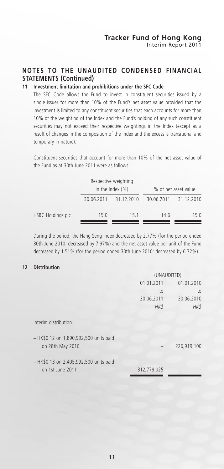# **NOTES TO THE UNAUDITED CONDENSED FINANCIAL STATEMENTS (Continued)**

### **11 Investment limitation and prohibitions under the SFC Code**

The SFC Code allows the Fund to invest in constituent securities issued by a single issuer for more than 10% of the Fund's net asset value provided that the investment is limited to any constituent securities that each accounts for more than 10% of the weighting of the Index and the Fund's holding of any such constituent securities may not exceed their respective weightings in the Index (except as a result of changes in the composition of the Index and the excess is transitional and temporary in nature).

Constituent securities that account for more than 10% of the net asset value of the Fund as at 30th June 2011 were as follows:

|                   |      | Respective weighting<br>in the Index $(\%)$ |            | % of net asset value |
|-------------------|------|---------------------------------------------|------------|----------------------|
|                   |      | 30.06.2011 31.12.2010                       | 30.06.2011 | 31.12.2010           |
| HSBC Holdings plc | 15.0 | 151                                         | 14.6       | 150                  |

During the period, the Hang Seng Index decreased by 2.77% (for the period ended 30th June 2010: decreased by 7.97%) and the net asset value per unit of the Fund decreased by 1.51% (for the period ended 30th June 2010: decreased by 6.72%).

#### **12 Distribution**

|                                        | (UNAUDITED) |             |
|----------------------------------------|-------------|-------------|
|                                        | 01.01.2011  | 01.01.2010  |
|                                        | to          | to          |
|                                        | 30.06.2011  | 30.06.2010  |
|                                        | HK\$        | HK\$        |
| Interim distribution                   |             |             |
| - HK\$0.12 on 1,890,992,500 units paid |             |             |
| on 28th May 2010                       |             | 226,919,100 |
| - HK\$0.13 on 2,405,992,500 units paid |             |             |
| on 1st June 2011                       | 312,779,025 |             |
|                                        |             |             |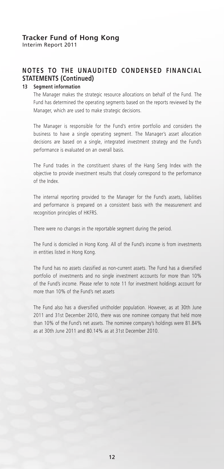# **NOTES TO THE UNAUDITED CONDENSED FINANCIAL STATEMENTS (Continued)**

#### **13 Segment information**

The Manager makes the strategic resource allocations on behalf of the Fund. The Fund has determined the operating segments based on the reports reviewed by the Manager, which are used to make strategic decisions.

The Manager is responsible for the Fund's entire portfolio and considers the business to have a single operating segment. The Manager's asset allocation decisions are based on a single, integrated investment strategy and the Fund's performance is evaluated on an overall basis.

The Fund trades in the constituent shares of the Hang Seng Index with the objective to provide investment results that closely correspond to the performance of the Index.

The internal reporting provided to the Manager for the Fund's assets, liabilities and performance is prepared on a consistent basis with the measurement and recognition principles of HKFRS.

There were no changes in the reportable segment during the period.

The Fund is domiciled in Hong Kong. All of the Fund's income is from investments in entities listed in Hong Kong.

The Fund has no assets classified as non-current assets. The Fund has a diversified portfolio of investments and no single investment accounts for more than 10% of the Fund's income. Please refer to note 11 for investment holdings account for more than 10% of the Fund's net assets

The Fund also has a diversified unitholder population. However, as at 30th June 2011 and 31st December 2010, there was one nominee company that held more than 10% of the Fund's net assets. The nominee company's holdings were 81.84% as at 30th June 2011 and 80.14% as at 31st December 2010.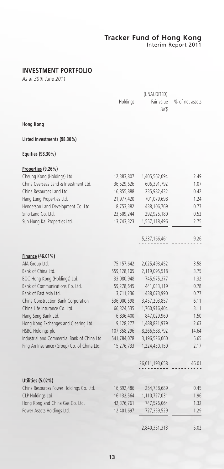Interim Report 2011

# **INVESTMENT PORTFOLIO**

*As at 30th June 2011*

|                                              | Holdings    | Fair value<br>HK\$ | % of net assets |
|----------------------------------------------|-------------|--------------------|-----------------|
| <b>Hong Kong</b>                             |             |                    |                 |
| Listed investments (98.30%)                  |             |                    |                 |
| Equities (98.30%)                            |             |                    |                 |
| Properties (9.26%)                           |             |                    |                 |
| Cheung Kong (Holdings) Ltd.                  | 12,383,807  | 1,405,562,094      | 2.49            |
| China Overseas Land & Investment Ltd.        | 36,529,626  | 606,391,792        | 1.07            |
| China Resources Land Ltd.                    | 16,855,888  | 235,982,432        | 0.42            |
| Hang Lung Properties Ltd.                    | 21,977,420  | 701,079,698        | 1.24            |
| Henderson Land Development Co. Ltd.          | 8,753,382   | 438,106,769        | 0.77            |
| Sino Land Co. Ltd.                           | 23,509,244  | 292,925,180        | 0.52            |
| Sun Hung Kai Properties Ltd.                 | 13,743,323  | 1,557,118,496      | 2.75            |
|                                              |             | 5,237,166,461      | 9.26            |
| Finance (46.01%)                             |             |                    |                 |
| AIA Group Ltd.                               | 75,157,642  | 2,025,498,452      | 3.58            |
| Bank of China Ltd.                           | 559,128,105 | 2,119,095,518      | 3.75            |
| BOC Hong Kong (Holdings) Ltd.                | 33,080,948  | 745,975,377        | 1.32            |
| Bank of Communications Co. Ltd.              | 59,278,645  | 441,033,119        | 0.78            |
| Bank of East Asia Ltd.                       | 13,711,236  | 438,073,990        | 0.77            |
| China Construction Bank Corporation          | 536,000,598 | 3,457,203,857      | 6.11            |
| China Life Insurance Co. Ltd.                | 66,324,535  | 1,760,916,404      | 3.11            |
| Hang Seng Bank Ltd.                          | 6,836,400   | 847,029,960        | 1.50            |
| Hong Kong Exchanges and Clearing Ltd.        | 9,128,277   | 1,488,821,979      | 2.63            |
| <b>HSBC Holdings plc</b>                     | 107,358,296 | 8,266,588,792      | 14.64           |
| Industrial and Commercial Bank of China Ltd. | 541,784,078 | 3,196,526,060      | 5.65            |
| Ping An Insurance (Group) Co. of China Ltd.  | 15,276,733  | 1,224,430,150      | 2.17            |
|                                              |             | 26,011,193,658     | 46.01           |
| Utilities (5.02%)                            |             |                    |                 |
| China Resources Power Holdings Co. Ltd.      | 16,892,486  | 254,738,689        | 0.45            |
| CLP Holdings Ltd.                            | 16,132,564  | 1,110,727,031      | 1.96            |
| Hong Kong and China Gas Co. Ltd.             | 42,376,761  | 747,526,064        | 1.32            |
| Power Assets Holdings Ltd.                   | 12,401,697  | 727,359,529        | 1.29            |
|                                              |             | 2,840,351,313      | 5.02            |
|                                              |             |                    |                 |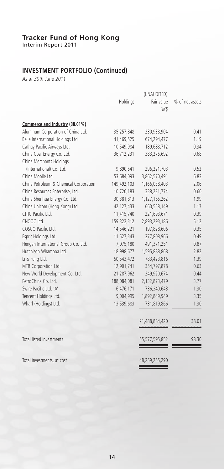Interim Report 2011

# **INVESTMENT PORTFOLIO (Continued)**

*As at 30th June 2011*

|                                        | Holdings    | Fair value     | % of net assets |
|----------------------------------------|-------------|----------------|-----------------|
|                                        |             | HK\$           |                 |
|                                        |             |                |                 |
| Commerce and Industry (38.01%)         |             |                |                 |
| Aluminum Corporation of China Ltd.     | 35,257,848  | 230,938,904    | 0.41            |
| Belle International Holdings Ltd.      | 41,469,525  | 674,294,477    | 1.19            |
| Cathay Pacific Airways Ltd.            | 10,549,984  | 189,688,712    | 0.34            |
| China Coal Energy Co. Ltd.             | 36,712,231  | 383,275,692    | 0.68            |
| China Merchants Holdings               |             |                |                 |
| (International) Co. Ltd.               | 9,890,541   | 296,221,703    | 0.52            |
| China Mobile Ltd.                      | 53,684,093  | 3,862,570,491  | 6.83            |
| China Petroleum & Chemical Corporation | 149,492,103 | 1,166,038,403  | 2.06            |
| China Resources Enterprise, Ltd.       | 10,720,183  | 338,221,774    | 0.60            |
| China Shenhua Energy Co. Ltd.          | 30,381,813  | 1,127,165,262  | 1.99            |
| China Unicom (Hong Kong) Ltd.          | 42,127,433  | 660,558,149    | 1.17            |
| CITIC Pacific Ltd.                     | 11,415,740  | 221,693,671    | 0.39            |
| CNOOC Ltd.                             | 159,322,312 | 2,893,293,186  | 5.12            |
| COSCO Pacific Ltd.                     | 14,546,221  | 197,828,606    | 0.35            |
| Esprit Holdings Ltd.                   | 11,527,343  | 277,808,966    | 0.49            |
| Hengan International Group Co. Ltd.    | 7,075,180   | 491,371,251    | 0.87            |
| Hutchison Whampoa Ltd.                 | 18,998,677  | 1,595,888,868  | 2.82            |
| Li & Fung Ltd.                         | 50,543,472  | 783,423,816    | 1.39            |
| MTR Corporation Ltd.                   | 12,901,741  | 354,797,878    | 0.63            |
| New World Development Co. Ltd.         | 21,287,962  | 249,920,674    | 0.44            |
| PetroChina Co. Ltd.                    | 188,084,081 | 2,132,873,479  | 3.77            |
| Swire Pacific Ltd. 'A'                 | 6,476,171   | 736,340,643    | 1.30            |
| Tencent Holdings Ltd.                  | 9,004,995   | 1,892,849,949  | 3.35            |
| Wharf (Holdings) Ltd.                  | 13,539,683  | 731,819,866    | 1.30            |
|                                        |             |                |                 |
|                                        |             | 21,488,884,420 | 38.01           |
| Total listed investments               |             | 55,577,595,852 | 98.30           |
| Total investments, at cost             |             | 48,259,255,290 |                 |

 $\hspace{1.5cm} =$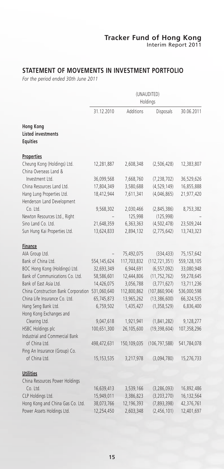# **STATEMENT OF MOVEMENTS IN INVESTMENT PORTFOLIO**

*For the period ended 30th June 2011*

|                                                                  | (UNAUDITED)<br>Holdings |             |                 |             |
|------------------------------------------------------------------|-------------------------|-------------|-----------------|-------------|
|                                                                  | 31.12.2010              | Additions   | Disposals       | 30.06.2011  |
| <b>Hong Kong</b><br><b>Listed investments</b><br><b>Equities</b> |                         |             |                 |             |
| <b>Properties</b>                                                |                         |             |                 |             |
| Cheung Kong (Holdings) Ltd.<br>China Overseas Land &             | 12,281,887              | 2,608,348   | (2,506,428)     | 12,383,807  |
| Investment Ltd.                                                  | 36,099,568              | 7,668,760   | (7, 238, 702)   | 36,529,626  |
| China Resources Land Ltd.                                        | 17,804,349              | 3,580,688   | (4, 529, 149)   | 16,855,888  |
| Hang Lung Properties Ltd.<br>Henderson Land Development          | 18,412,944              | 7,611,341   | (4,046,865)     | 21,977,420  |
| Co. Ltd.                                                         | 9,568,302               | 2,030,466   | (2,845,386)     | 8,753,382   |
| Newton Resources Ltd., Right                                     |                         | 125,998     | (125, 998)      |             |
| Sino Land Co. Ltd.                                               | 21,648,359              | 6,363,363   | (4, 502, 478)   | 23,509,244  |
| Sun Hung Kai Properties Ltd.                                     | 13,624,833              | 2,894,132   | (2,775,642)     | 13,743,323  |
| <b>Finance</b>                                                   |                         |             |                 |             |
| AIA Group Ltd.                                                   |                         | 75,492,075  | (334, 433)      | 75,157,642  |
| Bank of China Ltd.                                               | 554,145,624             | 117,703,832 | (112, 721, 351) | 559,128,105 |
| BOC Hong Kong (Holdings) Ltd.                                    | 32,693,349              | 6,944,691   | (6, 557, 092)   | 33,080,948  |
| Bank of Communications Co. Ltd.                                  | 58,586,601              | 12,444,806  | (11, 752, 762)  | 59,278,645  |
| Bank of East Asia Ltd.                                           | 14,426,075              | 3,056,788   | (3,771,627)     | 13,711,236  |
| China Construction Bank Corporation                              | 531,060,640             | 112,800,862 | (107, 860, 904) | 536,000,598 |
| China Life Insurance Co. Ltd.                                    | 65,745,873              | 13,965,262  | (13, 386, 600)  | 66,324,535  |
| Hang Seng Bank Ltd.                                              | 6,759,502               | 1,435,427   | (1,358,529)     | 6,836,400   |
| Hong Kong Exchanges and                                          |                         |             |                 |             |
| Clearing Ltd.                                                    | 9,047,618               | 1,921,941   | (1,841,282)     | 9,128,277   |
| HSBC Holdings plc<br>Industrial and Commercial Bank              | 100,651,300             | 26,105,600  | (19, 398, 604)  | 107,358,296 |
| of China Ltd.                                                    | 498,472,631             | 150,109,035 | (106, 797, 588) | 541,784,078 |
| Ping An Insurance (Group) Co.                                    |                         |             |                 |             |
| of China Ltd.                                                    | 15,153,535              | 3,217,978   | (3,094,780)     | 15,276,733  |
| <b>Utilities</b>                                                 |                         |             |                 |             |
| China Resources Power Holdings                                   |                         |             |                 |             |
| Co. Ltd.                                                         | 16,639,413              | 3,539,166   | (3, 286, 093)   | 16,892,486  |
| CLP Holdings Ltd.                                                | 15,949,011              | 3,386,823   | (3,203,270)     | 16,132,564  |
| Hong Kong and China Gas Co. Ltd.                                 | 38,073,766              | 12,196,393  | (7,893,398)     | 42,376,761  |
| Power Assets Holdings Ltd.                                       | 12,254,450              | 2,603,348   | (2,456,101)     | 12,401,697  |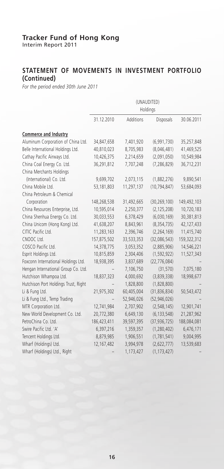Interim Report 2011

### **STATEMENT OF MOVEMENTS IN INVESTMENT PORTFOLIO (Continued)**

*For the period ended 30th June 2011*

|                                      | (UNAUDITED)<br>Holdings |            |                |             |  |
|--------------------------------------|-------------------------|------------|----------------|-------------|--|
|                                      | 31.12.2010              | Additions  | Disposals      | 30.06.2011  |  |
| Commerce and Industry                |                         |            |                |             |  |
| Aluminum Corporation of China Ltd.   | 34,847,658              | 7,401,920  | (6,991,730)    | 35,257,848  |  |
| Belle International Holdings Ltd.    | 40,810,023              | 8,705,983  | (8,046,481)    | 41,469,525  |  |
| Cathay Pacific Airways Ltd.          | 10,426,375              | 2,214,659  | (2,091,050)    | 10,549,984  |  |
| China Coal Energy Co. Ltd.           | 36,291,812              | 7,707,248  | (7, 286, 829)  | 36,712,231  |  |
| China Merchants Holdings             |                         |            |                |             |  |
| (International) Co. Ltd.             | 9,699,702               | 2,073,115  | (1,882,276)    | 9,890,541   |  |
| China Mobile Ltd.                    | 53,181,803              | 11,297,137 | (10, 794, 847) | 53,684,093  |  |
| China Petroleum & Chemical           |                         |            |                |             |  |
| Corporation                          | 148,268,538             | 31,492,665 | (30, 269, 100) | 149,492,103 |  |
| China Resources Enterprise, Ltd.     | 10,595,014              | 2,250,377  | (2, 125, 208)  | 10,720,183  |  |
| China Shenhua Energy Co. Ltd.        | 30,033,553              | 6,378,429  | (6,030,169)    | 30,381,813  |  |
| China Unicom (Hong Kong) Ltd.        | 41,638,207              | 8,843,961  | (8, 354, 735)  | 42,127,433  |  |
| CITIC Pacific Ltd.                   | 11,283,163              | 2,396,746  | (2, 264, 169)  | 11,415,740  |  |
| CNOOC Ltd.                           | 157,875,502             | 33,533,353 | (32,086,543)   | 159,322,312 |  |
| COSCO Pacific Ltd.                   | 14,378,775              | 3,053,352  | (2,885,906)    | 14,546,221  |  |
| Esprit Holdings Ltd.                 | 10,815,859              | 2,304,406  | (1, 592, 922)  | 11,527,343  |  |
| Foxconn International Holdings Ltd.  | 18,938,395              | 3,837,689  | (22, 776, 084) |             |  |
| Hengan International Group Co. Ltd.  |                         | 7,106,750  | (31, 570)      | 7,075,180   |  |
| Hutchison Whampoa Ltd.               | 18,837,323              | 4,000,692  | (3,839,338)    | 18,998,677  |  |
| Hutchison Port Holdings Trust, Right |                         | 1,828,800  | (1,828,800)    |             |  |
| Li & Fung Ltd.                       | 21,975,302              | 60,405,004 | (31, 836, 834) | 50,543,472  |  |
| Li & Fung Ltd., Temp Trading         |                         | 52,946,026 | (52, 946, 026) |             |  |
| MTR Corporation Ltd.                 | 12,741,984              | 2,707,902  | (2, 548, 145)  | 12,901,741  |  |
| New World Development Co. Ltd.       | 20,772,380              | 6,649,130  | (6, 133, 548)  | 21,287,962  |  |
| PetroChina Co. Ltd.                  | 186,423,411             | 39,597,395 | (37, 936, 725) | 188,084,081 |  |
| Swire Pacific Ltd. 'A'               | 6,397,216               | 1,359,357  | (1, 280, 402)  | 6,476,171   |  |
| Tencent Holdings Ltd.                | 8,879,985               | 1,906,551  | (1,781,541)    | 9,004,995   |  |
| Wharf (Holdings) Ltd.                | 12,167,482              | 3,994,978  | (2,622,777)    | 13,539,683  |  |
| Wharf (Holdings) Ltd., Right         |                         | 1,173,427  | (1, 173, 427)  |             |  |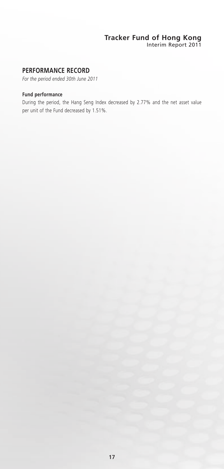Interim Report 2011

## **PERFORMANCE RECORD**

*For the period ended 30th June 2011*

### **Fund performance**

During the period, the Hang Seng Index decreased by 2.77% and the net asset value per unit of the Fund decreased by 1.51%.